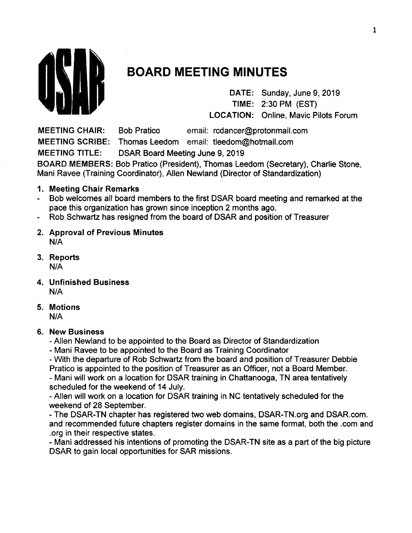

# **BOARD MEETING MINUTES**

DATE: Sunday, June 9, 2019 TIME: 2:30 PM (EST) LOCATION: Online, Mavic Pilots Forum

MEETING CHAIR: Bob Pratico email: rcdancer@protonmail.com MEETING SCRIBE: Thomas Leedom email: tleedom@hotmail.com MEETING TITLE: DSAR Board Meeting June 9, 2019 BOARD MEMBERS: Bob Pratico (President), Thomas Leedom (Secretary), Charlie Stone, Mani Ravee (Training Coordinator), Allen Newland (Director of Standardization)

- 1. Meeting Chair Remarks
- Bob welcomes all board members to the first DSAR board meeting and remarked at the pace this organization has grown since inception 2 months ago.
- Rob Schwartz has resigned from the board of DSAR and position of Treasurer  $\blacksquare$
- 2. Approval of Previous Minutes N/A
- 3. Reports N/A
- 4. Unfinished Business N/A
- 5. Motions N/A
- 6. New Business
	- Allen Newland to be appointed to the Board as Director of Standardization
	- Mani Ravee to be appointed to the Board as Training Coordinator

- With the departure of Rob Schwartz from the board and position of Treasurer Debbie

Pratico is appointed to the position of Treasurer as an Officer, not a Board Member.

- Mani will work on a location for DSAR training in Chattanooga, TN area tentatively scheduled for the weekend of 14 July.

- Allen will work on a location for DSAR training in NC tentatively scheduled for the weekend of 28 September.

- The DSAR-TN chapter has registered two web domains, DSAR-TN.org and DSAR.com. and recommended future chapters register domains in the same format, both the .com and .org in their respective states.

- Mani addressed his intentions of promoting the DSAR-TN site as a part of the big picture DSAR to gain local opportunities for SAR missions.